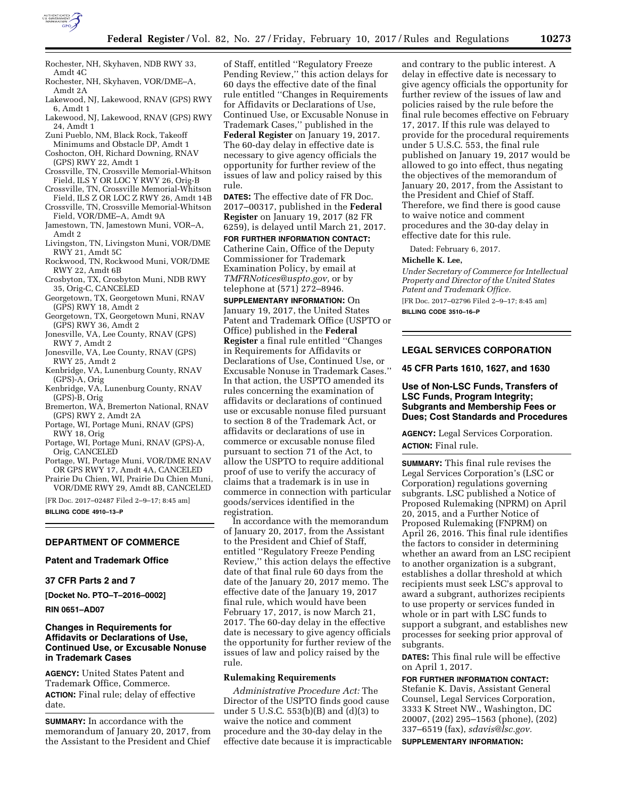

- Rochester, NH, Skyhaven, NDB RWY 33, Amdt 4C
- Rochester, NH, Skyhaven, VOR/DME–A, Amdt 2A
- Lakewood, NJ, Lakewood, RNAV (GPS) RWY 6, Amdt 1
- Lakewood, NJ, Lakewood, RNAV (GPS) RWY 24, Amdt 1
- Zuni Pueblo, NM, Black Rock, Takeoff Minimums and Obstacle DP, Amdt 1
- Coshocton, OH, Richard Downing, RNAV (GPS) RWY 22, Amdt 1
- Crossville, TN, Crossville Memorial-Whitson Field, ILS Y OR LOC Y RWY 26, Orig-B
- Crossville, TN, Crossville Memorial-Whitson
- Field, ILS Z OR LOC Z RWY 26, Amdt 14B Crossville, TN, Crossville Memorial-Whitson
- Field, VOR/DME–A, Amdt 9A Jamestown, TN, Jamestown Muni, VOR–A,
- Amdt 2 Livingston, TN, Livingston Muni, VOR/DME
- RWY 21, Amdt 5C Rockwood, TN, Rockwood Muni, VOR/DME
- RWY 22, Amdt 6B Crosbyton, TX, Crosbyton Muni, NDB RWY 35, Orig-C, CANCELED
- Georgetown, TX, Georgetown Muni, RNAV (GPS) RWY 18, Amdt 2
- Georgetown, TX, Georgetown Muni, RNAV (GPS) RWY 36, Amdt 2
- Jonesville, VA, Lee County, RNAV (GPS) RWY 7, Amdt 2
- Jonesville, VA, Lee County, RNAV (GPS) RWY 25, Amdt 2
- Kenbridge, VA, Lunenburg County, RNAV (GPS)-A, Orig
- Kenbridge, VA, Lunenburg County, RNAV (GPS)-B, Orig
- Bremerton, WA, Bremerton National, RNAV (GPS) RWY 2, Amdt 2A
- Portage, WI, Portage Muni, RNAV (GPS) RWY 18, Orig
- Portage, WI, Portage Muni, RNAV (GPS)-A, Orig, CANCELED
- Portage, WI, Portage Muni, VOR/DME RNAV OR GPS RWY 17, Amdt 4A, CANCELED
- Prairie Du Chien, WI, Prairie Du Chien Muni, VOR/DME RWY 29, Amdt 8B, CANCELED

[FR Doc. 2017–02487 Filed 2–9–17; 8:45 am]

**BILLING CODE 4910–13–P** 

# **DEPARTMENT OF COMMERCE**

### **Patent and Trademark Office**

# **37 CFR Parts 2 and 7**

**[Docket No. PTO–T–2016–0002]** 

### **RIN 0651–AD07**

# **Changes in Requirements for Affidavits or Declarations of Use, Continued Use, or Excusable Nonuse in Trademark Cases**

**AGENCY:** United States Patent and Trademark Office, Commerce. **ACTION:** Final rule; delay of effective date.

**SUMMARY:** In accordance with the memorandum of January 20, 2017, from the Assistant to the President and Chief

of Staff, entitled ''Regulatory Freeze Pending Review,'' this action delays for 60 days the effective date of the final rule entitled ''Changes in Requirements for Affidavits or Declarations of Use, Continued Use, or Excusable Nonuse in Trademark Cases,'' published in the **Federal Register** on January 19, 2017. The 60-day delay in effective date is necessary to give agency officials the opportunity for further review of the issues of law and policy raised by this rule.

**DATES:** The effective date of FR Doc. 2017–00317, published in the **Federal Register** on January 19, 2017 (82 FR 6259), is delayed until March 21, 2017.

**FOR FURTHER INFORMATION CONTACT:**  Catherine Cain, Office of the Deputy Commissioner for Trademark Examination Policy, by email at *[TMFRNotices@uspto.gov,](mailto:TMFRNotices@uspto.gov)* or by telephone at (571) 272–8946.

**SUPPLEMENTARY INFORMATION:** On January 19, 2017, the United States Patent and Trademark Office (USPTO or Office) published in the **Federal Register** a final rule entitled ''Changes in Requirements for Affidavits or Declarations of Use, Continued Use, or Excusable Nonuse in Trademark Cases.'' In that action, the USPTO amended its rules concerning the examination of affidavits or declarations of continued use or excusable nonuse filed pursuant to section 8 of the Trademark Act, or affidavits or declarations of use in commerce or excusable nonuse filed pursuant to section 71 of the Act, to allow the USPTO to require additional proof of use to verify the accuracy of claims that a trademark is in use in commerce in connection with particular goods/services identified in the registration.

In accordance with the memorandum of January 20, 2017, from the Assistant to the President and Chief of Staff, entitled ''Regulatory Freeze Pending Review,'' this action delays the effective date of that final rule 60 days from the date of the January 20, 2017 memo. The effective date of the January 19, 2017 final rule, which would have been February 17, 2017, is now March 21, 2017. The 60-day delay in the effective date is necessary to give agency officials the opportunity for further review of the issues of law and policy raised by the rule.

### **Rulemaking Requirements**

*Administrative Procedure Act:* The Director of the USPTO finds good cause under 5 U.S.C. 553(b)(B) and (d)(3) to waive the notice and comment procedure and the 30-day delay in the effective date because it is impracticable and contrary to the public interest. A delay in effective date is necessary to give agency officials the opportunity for further review of the issues of law and policies raised by the rule before the final rule becomes effective on February 17, 2017. If this rule was delayed to provide for the procedural requirements under 5 U.S.C. 553, the final rule published on January 19, 2017 would be allowed to go into effect, thus negating the objectives of the memorandum of January 20, 2017, from the Assistant to the President and Chief of Staff. Therefore, we find there is good cause to waive notice and comment procedures and the 30-day delay in effective date for this rule.

Dated: February 6, 2017.

### **Michelle K. Lee,**

*Under Secretary of Commerce for Intellectual Property and Director of the United States Patent and Trademark Office.*  [FR Doc. 2017–02796 Filed 2–9–17; 8:45 am]

**BILLING CODE 3510–16–P** 

### **LEGAL SERVICES CORPORATION**

#### **45 CFR Parts 1610, 1627, and 1630**

## **Use of Non-LSC Funds, Transfers of LSC Funds, Program Integrity; Subgrants and Membership Fees or Dues; Cost Standards and Procedures**

**AGENCY:** Legal Services Corporation. **ACTION:** Final rule.

**SUMMARY:** This final rule revises the Legal Services Corporation's (LSC or Corporation) regulations governing subgrants. LSC published a Notice of Proposed Rulemaking (NPRM) on April 20, 2015, and a Further Notice of Proposed Rulemaking (FNPRM) on April 26, 2016. This final rule identifies the factors to consider in determining whether an award from an LSC recipient to another organization is a subgrant, establishes a dollar threshold at which recipients must seek LSC's approval to award a subgrant, authorizes recipients to use property or services funded in whole or in part with LSC funds to support a subgrant, and establishes new processes for seeking prior approval of subgrants.

**DATES:** This final rule will be effective on April 1, 2017.

# **FOR FURTHER INFORMATION CONTACT:**

Stefanie K. Davis, Assistant General Counsel, Legal Services Corporation, 3333 K Street NW., Washington, DC 20007, (202) 295–1563 (phone), (202) 337–6519 (fax), *[sdavis@lsc.gov.](mailto:sdavis@lsc.gov)* 

**SUPPLEMENTARY INFORMATION:**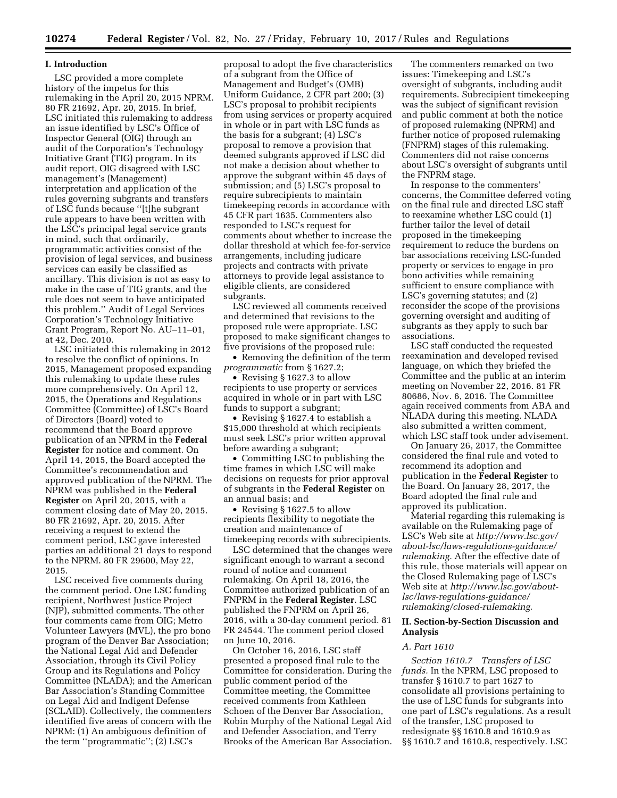### **I. Introduction**

LSC provided a more complete history of the impetus for this rulemaking in the April 20, 2015 NPRM. 80 FR 21692, Apr. 20, 2015. In brief, LSC initiated this rulemaking to address an issue identified by LSC's Office of Inspector General (OIG) through an audit of the Corporation's Technology Initiative Grant (TIG) program. In its audit report, OIG disagreed with LSC management's (Management) interpretation and application of the rules governing subgrants and transfers of LSC funds because ''[t]he subgrant rule appears to have been written with the LSC's principal legal service grants in mind, such that ordinarily, programmatic activities consist of the provision of legal services, and business services can easily be classified as ancillary. This division is not as easy to make in the case of TIG grants, and the rule does not seem to have anticipated this problem.'' Audit of Legal Services Corporation's Technology Initiative Grant Program, Report No. AU–11–01, at 42, Dec. 2010.

LSC initiated this rulemaking in 2012 to resolve the conflict of opinions. In 2015, Management proposed expanding this rulemaking to update these rules more comprehensively. On April 12, 2015, the Operations and Regulations Committee (Committee) of LSC's Board of Directors (Board) voted to recommend that the Board approve publication of an NPRM in the **Federal Register** for notice and comment. On April 14, 2015, the Board accepted the Committee's recommendation and approved publication of the NPRM. The NPRM was published in the **Federal Register** on April 20, 2015, with a comment closing date of May 20, 2015. 80 FR 21692, Apr. 20, 2015. After receiving a request to extend the comment period, LSC gave interested parties an additional 21 days to respond to the NPRM. 80 FR 29600, May 22, 2015.

LSC received five comments during the comment period. One LSC funding recipient, Northwest Justice Project (NJP), submitted comments. The other four comments came from OIG; Metro Volunteer Lawyers (MVL), the pro bono program of the Denver Bar Association; the National Legal Aid and Defender Association, through its Civil Policy Group and its Regulations and Policy Committee (NLADA); and the American Bar Association's Standing Committee on Legal Aid and Indigent Defense (SCLAID). Collectively, the commenters identified five areas of concern with the NPRM: (1) An ambiguous definition of the term ''programmatic''; (2) LSC's

proposal to adopt the five characteristics of a subgrant from the Office of Management and Budget's (OMB) Uniform Guidance, 2 CFR part 200; (3) LSC's proposal to prohibit recipients from using services or property acquired in whole or in part with LSC funds as the basis for a subgrant; (4) LSC's proposal to remove a provision that deemed subgrants approved if LSC did not make a decision about whether to approve the subgrant within 45 days of submission; and (5) LSC's proposal to require subrecipients to maintain timekeeping records in accordance with 45 CFR part 1635. Commenters also responded to LSC's request for comments about whether to increase the dollar threshold at which fee-for-service arrangements, including judicare projects and contracts with private attorneys to provide legal assistance to eligible clients, are considered subgrants.

LSC reviewed all comments received and determined that revisions to the proposed rule were appropriate. LSC proposed to make significant changes to five provisions of the proposed rule:

• Removing the definition of the term *programmatic* from § 1627.2;

• Revising § 1627.3 to allow recipients to use property or services acquired in whole or in part with LSC funds to support a subgrant;

• Revising § 1627.4 to establish a \$15,000 threshold at which recipients must seek LSC's prior written approval before awarding a subgrant;

• Committing LSC to publishing the time frames in which LSC will make decisions on requests for prior approval of subgrants in the **Federal Register** on an annual basis; and

• Revising § 1627.5 to allow recipients flexibility to negotiate the creation and maintenance of timekeeping records with subrecipients.

LSC determined that the changes were significant enough to warrant a second round of notice and comment rulemaking. On April 18, 2016, the Committee authorized publication of an FNPRM in the **Federal Register**. LSC published the FNPRM on April 26, 2016, with a 30-day comment period. 81 FR 24544. The comment period closed on June 10, 2016.

On October 16, 2016, LSC staff presented a proposed final rule to the Committee for consideration. During the public comment period of the Committee meeting, the Committee received comments from Kathleen Schoen of the Denver Bar Association, Robin Murphy of the National Legal Aid and Defender Association, and Terry Brooks of the American Bar Association.

The commenters remarked on two issues: Timekeeping and LSC's oversight of subgrants, including audit requirements. Subrecipient timekeeping was the subject of significant revision and public comment at both the notice of proposed rulemaking (NPRM) and further notice of proposed rulemaking (FNPRM) stages of this rulemaking. Commenters did not raise concerns about LSC's oversight of subgrants until the FNPRM stage.

In response to the commenters' concerns, the Committee deferred voting on the final rule and directed LSC staff to reexamine whether LSC could (1) further tailor the level of detail proposed in the timekeeping requirement to reduce the burdens on bar associations receiving LSC-funded property or services to engage in pro bono activities while remaining sufficient to ensure compliance with LSC's governing statutes; and (2) reconsider the scope of the provisions governing oversight and auditing of subgrants as they apply to such bar associations.

LSC staff conducted the requested reexamination and developed revised language, on which they briefed the Committee and the public at an interim meeting on November 22, 2016. 81 FR 80686, Nov. 6, 2016. The Committee again received comments from ABA and NLADA during this meeting. NLADA also submitted a written comment, which LSC staff took under advisement.

On January 26, 2017, the Committee considered the final rule and voted to recommend its adoption and publication in the **Federal Register** to the Board. On January 28, 2017, the Board adopted the final rule and approved its publication.

Material regarding this rulemaking is available on the Rulemaking page of LSC's Web site at *[http://www.lsc.gov/](http://www.lsc.gov/about-lsc/laws-regulations-guidance/rulemaking)  [about-lsc/laws-regulations-guidance/](http://www.lsc.gov/about-lsc/laws-regulations-guidance/rulemaking)  [rulemaking.](http://www.lsc.gov/about-lsc/laws-regulations-guidance/rulemaking)* After the effective date of this rule, those materials will appear on the Closed Rulemaking page of LSC's Web site at *[http://www.lsc.gov/about](http://www.lsc.gov/about-lsc/laws-regulations-guidance/rulemaking/closed-rulemaking)[lsc/laws-regulations-guidance/](http://www.lsc.gov/about-lsc/laws-regulations-guidance/rulemaking/closed-rulemaking) [rulemaking/closed-rulemaking.](http://www.lsc.gov/about-lsc/laws-regulations-guidance/rulemaking/closed-rulemaking)* 

# **II. Section-by-Section Discussion and Analysis**

# *A. Part 1610*

*Section 1610.7 Transfers of LSC funds.* In the NPRM, LSC proposed to transfer § 1610.7 to part 1627 to consolidate all provisions pertaining to the use of LSC funds for subgrants into one part of LSC's regulations. As a result of the transfer, LSC proposed to redesignate §§ 1610.8 and 1610.9 as §§ 1610.7 and 1610.8, respectively. LSC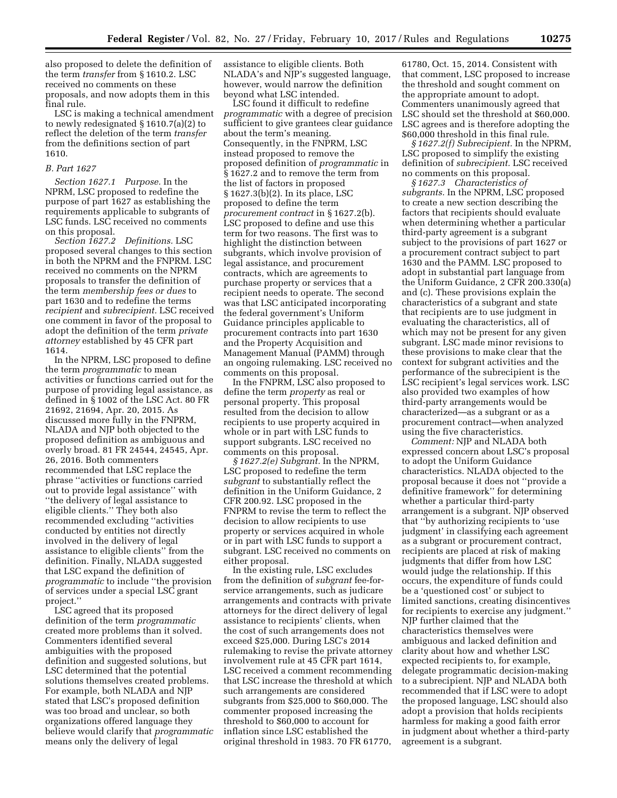also proposed to delete the definition of the term *transfer* from § 1610.2. LSC received no comments on these proposals, and now adopts them in this final rule.

LSC is making a technical amendment to newly redesignated § 1610.7(a)(2) to reflect the deletion of the term *transfer*  from the definitions section of part 1610.

### *B. Part 1627*

*Section 1627.1 Purpose.* In the NPRM, LSC proposed to redefine the purpose of part 1627 as establishing the requirements applicable to subgrants of LSC funds. LSC received no comments on this proposal.

*Section 1627.2 Definitions.* LSC proposed several changes to this section in both the NPRM and the FNPRM. LSC received no comments on the NPRM proposals to transfer the definition of the term *membership fees or dues* to part 1630 and to redefine the terms *recipient* and *subrecipient.* LSC received one comment in favor of the proposal to adopt the definition of the term *private attorney* established by 45 CFR part 1614.

In the NPRM, LSC proposed to define the term *programmatic* to mean activities or functions carried out for the purpose of providing legal assistance, as defined in § 1002 of the LSC Act. 80 FR 21692, 21694, Apr. 20, 2015. As discussed more fully in the FNPRM, NLADA and NJP both objected to the proposed definition as ambiguous and overly broad. 81 FR 24544, 24545, Apr. 26, 2016. Both commenters recommended that LSC replace the phrase ''activities or functions carried out to provide legal assistance'' with ''the delivery of legal assistance to eligible clients.'' They both also recommended excluding ''activities conducted by entities not directly involved in the delivery of legal assistance to eligible clients'' from the definition. Finally, NLADA suggested that LSC expand the definition of *programmatic* to include ''the provision of services under a special LSC grant project.''

LSC agreed that its proposed definition of the term *programmatic*  created more problems than it solved. Commenters identified several ambiguities with the proposed definition and suggested solutions, but LSC determined that the potential solutions themselves created problems. For example, both NLADA and NJP stated that LSC's proposed definition was too broad and unclear, so both organizations offered language they believe would clarify that *programmatic*  means only the delivery of legal

assistance to eligible clients. Both NLADA's and NJP's suggested language, however, would narrow the definition beyond what LSC intended.

LSC found it difficult to redefine *programmatic* with a degree of precision sufficient to give grantees clear guidance about the term's meaning. Consequently, in the FNPRM, LSC instead proposed to remove the proposed definition of *programmatic* in § 1627.2 and to remove the term from the list of factors in proposed § 1627.3(b)(2). In its place, LSC proposed to define the term *procurement contract* in § 1627.2(b). LSC proposed to define and use this term for two reasons. The first was to highlight the distinction between subgrants, which involve provision of legal assistance, and procurement contracts, which are agreements to purchase property or services that a recipient needs to operate. The second was that LSC anticipated incorporating the federal government's Uniform Guidance principles applicable to procurement contracts into part 1630 and the Property Acquisition and Management Manual (PAMM) through an ongoing rulemaking. LSC received no comments on this proposal.

In the FNPRM, LSC also proposed to define the term *property* as real or personal property. This proposal resulted from the decision to allow recipients to use property acquired in whole or in part with LSC funds to support subgrants. LSC received no comments on this proposal.

*§ 1627.2(e) Subgrant.* In the NPRM, LSC proposed to redefine the term *subgrant* to substantially reflect the definition in the Uniform Guidance, 2 CFR 200.92. LSC proposed in the FNPRM to revise the term to reflect the decision to allow recipients to use property or services acquired in whole or in part with LSC funds to support a subgrant. LSC received no comments on either proposal.

In the existing rule, LSC excludes from the definition of *subgrant* fee-forservice arrangements, such as judicare arrangements and contracts with private attorneys for the direct delivery of legal assistance to recipients' clients, when the cost of such arrangements does not exceed \$25,000. During LSC's 2014 rulemaking to revise the private attorney involvement rule at 45 CFR part 1614, LSC received a comment recommending that LSC increase the threshold at which such arrangements are considered subgrants from \$25,000 to \$60,000. The commenter proposed increasing the threshold to \$60,000 to account for inflation since LSC established the original threshold in 1983. 70 FR 61770,

61780, Oct. 15, 2014. Consistent with that comment, LSC proposed to increase the threshold and sought comment on the appropriate amount to adopt. Commenters unanimously agreed that LSC should set the threshold at \$60,000. LSC agrees and is therefore adopting the \$60,000 threshold in this final rule.

*§ 1627.2(f) Subrecipient.* In the NPRM, LSC proposed to simplify the existing definition of *subrecipient.* LSC received no comments on this proposal.

*§ 1627.3 Characteristics of subgrants.* In the NPRM, LSC proposed to create a new section describing the factors that recipients should evaluate when determining whether a particular third-party agreement is a subgrant subject to the provisions of part 1627 or a procurement contract subject to part 1630 and the PAMM. LSC proposed to adopt in substantial part language from the Uniform Guidance, 2 CFR 200.330(a) and (c). These provisions explain the characteristics of a subgrant and state that recipients are to use judgment in evaluating the characteristics, all of which may not be present for any given subgrant. LSC made minor revisions to these provisions to make clear that the context for subgrant activities and the performance of the subrecipient is the LSC recipient's legal services work. LSC also provided two examples of how third-party arrangements would be characterized—as a subgrant or as a procurement contract—when analyzed using the five characteristics.

*Comment:* NJP and NLADA both expressed concern about LSC's proposal to adopt the Uniform Guidance characteristics. NLADA objected to the proposal because it does not ''provide a definitive framework'' for determining whether a particular third-party arrangement is a subgrant. NJP observed that ''by authorizing recipients to 'use judgment' in classifying each agreement as a subgrant or procurement contract, recipients are placed at risk of making judgments that differ from how LSC would judge the relationship. If this occurs, the expenditure of funds could be a 'questioned cost' or subject to limited sanctions, creating disincentives for recipients to exercise any judgment.'' NJP further claimed that the characteristics themselves were ambiguous and lacked definition and clarity about how and whether LSC expected recipients to, for example, delegate programmatic decision-making to a subrecipient. NJP and NLADA both recommended that if LSC were to adopt the proposed language, LSC should also adopt a provision that holds recipients harmless for making a good faith error in judgment about whether a third-party agreement is a subgrant.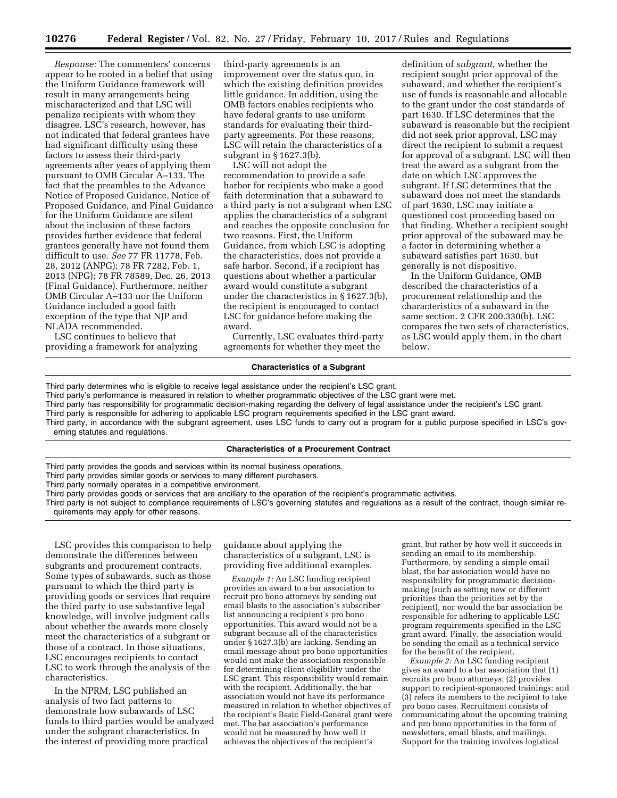*Response:* The commenters' concerns appear to be rooted in a belief that using the Uniform Guidance framework will result in many arrangements being mischaracterized and that LSC will penalize recipients with whom they disagree. LSC's research, however, has not indicated that federal grantees have had significant difficulty using these factors to assess their third-party agreements after years of applying them pursuant to OMB Circular A–133. The fact that the preambles to the Advance Notice of Proposed Guidance, Notice of Proposed Guidance, and Final Guidance for the Uniform Guidance are silent about the inclusion of these factors provides further evidence that federal grantees generally have not found them difficult to use. *See* 77 FR 11778, Feb. 28, 2012 (ANPG); 78 FR 7282, Feb. 1, 2013 (NPG); 78 FR 78589, Dec. 26, 2013 (Final Guidance). Furthermore, neither OMB Circular A–133 nor the Uniform Guidance included a good faith exception of the type that NJP and NLADA recommended.

LSC continues to believe that providing a framework for analyzing

third-party agreements is an improvement over the status quo, in which the existing definition provides little guidance. In addition, using the OMB factors enables recipients who have federal grants to use uniform standards for evaluating their thirdparty agreements. For these reasons, LSC will retain the characteristics of a subgrant in § 1627.3(b).

LSC will not adopt the recommendation to provide a safe harbor for recipients who make a good faith determination that a subaward to a third party is not a subgrant when LSC applies the characteristics of a subgrant and reaches the opposite conclusion for two reasons. First, the Uniform Guidance, from which LSC is adopting the characteristics, does not provide a safe harbor. Second, if a recipient has questions about whether a particular award would constitute a subgrant under the characteristics in § 1627.3(b), the recipient is encouraged to contact LSC for guidance before making the award.

Currently, LSC evaluates third-party agreements for whether they meet the

### **Characteristics of a Subgrant**

below.

Third party determines who is eligible to receive legal assistance under the recipient's LSC grant.

Third party's performance is measured in relation to whether programmatic objectives of the LSC grant were met.

Third party has responsibility for programmatic decision-making regarding the delivery of legal assistance under the recipient's LSC grant.

Third party is responsible for adhering to applicable LSC program requirements specified in the LSC grant award.

Third party, in accordance with the subgrant agreement, uses LSC funds to carry out a program for a public purpose specified in LSC's governing statutes and regulations.

### **Characteristics of a Procurement Contract**

Third party provides the goods and services within its normal business operations.

Third party provides similar goods or services to many different purchasers.

Third party normally operates in a competitive environment.

Third party provides goods or services that are ancillary to the operation of the recipient's programmatic activities.

Third party is not subject to compliance requirements of LSC's governing statutes and regulations as a result of the contract, though similar requirements may apply for other reasons.

LSC provides this comparison to help demonstrate the differences between subgrants and procurement contracts. Some types of subawards, such as those pursuant to which the third party is providing goods or services that require the third party to use substantive legal knowledge, will involve judgment calls about whether the awards more closely meet the characteristics of a subgrant or those of a contract. In those situations, LSC encourages recipients to contact LSC to work through the analysis of the characteristics.

In the NPRM, LSC published an analysis of two fact patterns to demonstrate how subawards of LSC funds to third parties would be analyzed under the subgrant characteristics. In the interest of providing more practical

guidance about applying the characteristics of a subgrant, LSC is providing five additional examples.

*Example 1:* An LSC funding recipient provides an award to a bar association to recruit pro bono attorneys by sending out email blasts to the association's subscriber list announcing a recipient's pro bono opportunities. This award would not be a subgrant because all of the characteristics under § 1627.3(b) are lacking. Sending an email message about pro bono opportunities would not make the association responsible for determining client eligibility under the LSC grant. This responsibility would remain with the recipient. Additionally, the bar association would not have its performance measured in relation to whether objectives of the recipient's Basic Field-General grant were met. The bar association's performance would not be measured by how well it achieves the objectives of the recipient's

grant, but rather by how well it succeeds in sending an email to its membership. Furthermore, by sending a simple email blast, the bar association would have no responsibility for programmatic decisionmaking (such as setting new or different priorities than the priorities set by the recipient), nor would the bar association be responsible for adhering to applicable LSC program requirements specified in the LSC grant award. Finally, the association would be sending the email as a technical service for the benefit of the recipient.

definition of *subgrant,* whether the recipient sought prior approval of the subaward, and whether the recipient's use of funds is reasonable and allocable to the grant under the cost standards of part 1630. If LSC determines that the subaward is reasonable but the recipient did not seek prior approval, LSC may direct the recipient to submit a request for approval of a subgrant. LSC will then treat the award as a subgrant from the date on which LSC approves the subgrant. If LSC determines that the subaward does not meet the standards of part 1630, LSC may initiate a questioned cost proceeding based on that finding. Whether a recipient sought prior approval of the subaward may be a factor in determining whether a subaward satisfies part 1630, but generally is not dispositive. In the Uniform Guidance, OMB described the characteristics of a procurement relationship and the characteristics of a subaward in the same section. 2 CFR 200.330(b). LSC compares the two sets of characteristics, as LSC would apply them, in the chart

*Example 2:* An LSC funding recipient gives an award to a bar association that (1) recruits pro bono attorneys; (2) provides support to recipient-sponsored trainings; and (3) refers its members to the recipient to take pro bono cases. Recruitment consists of communicating about the upcoming training and pro bono opportunities in the form of newsletters, email blasts, and mailings. Support for the training involves logistical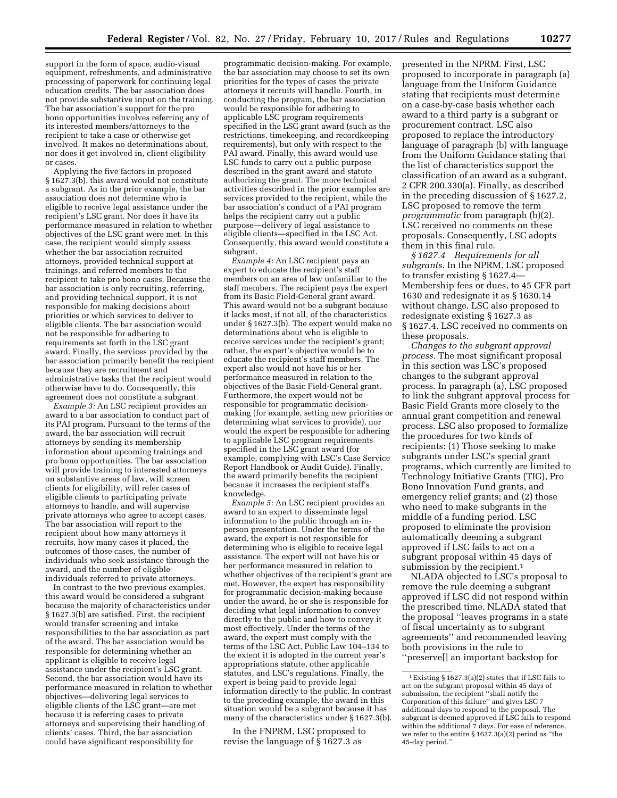support in the form of space, audio-visual equipment, refreshments, and administrative processing of paperwork for continuing legal education credits. The bar association does not provide substantive input on the training. The bar association's support for the pro bono opportunities involves referring any of its interested members/attorneys to the recipient to take a case or otherwise get involved. It makes no determinations about, nor does it get involved in, client eligibility or cases.

Applying the five factors in proposed § 1627.3(b), this award would not constitute a subgrant. As in the prior example, the bar association does not determine who is eligible to receive legal assistance under the recipient's LSC grant. Nor does it have its performance measured in relation to whether objectives of the LSC grant were met. In this case, the recipient would simply assess whether the bar association recruited attorneys, provided technical support at trainings, and referred members to the recipient to take pro bono cases. Because the bar association is only recruiting, referring, and providing technical support, it is not responsible for making decisions about priorities or which services to deliver to eligible clients. The bar association would not be responsible for adhering to requirements set forth in the LSC grant award. Finally, the services provided by the bar association primarily benefit the recipient because they are recruitment and administrative tasks that the recipient would otherwise have to do. Consequently, this agreement does not constitute a subgrant.

*Example 3:* An LSC recipient provides an award to a bar association to conduct part of its PAI program. Pursuant to the terms of the award, the bar association will recruit attorneys by sending its membership information about upcoming trainings and pro bono opportunities. The bar association will provide training to interested attorneys on substantive areas of law, will screen clients for eligibility, will refer cases of eligible clients to participating private attorneys to handle, and will supervise private attorneys who agree to accept cases. The bar association will report to the recipient about how many attorneys it recruits, how many cases it placed, the outcomes of those cases, the number of individuals who seek assistance through the award, and the number of eligible individuals referred to private attorneys.

In contrast to the two previous examples, this award would be considered a subgrant because the majority of characteristics under § 1627.3(b) are satisfied. First, the recipient would transfer screening and intake responsibilities to the bar association as part of the award. The bar association would be responsible for determining whether an applicant is eligible to receive legal assistance under the recipient's LSC grant. Second, the bar association would have its performance measured in relation to whether objectives—delivering legal services to eligible clients of the LSC grant—are met because it is referring cases to private attorneys and supervising their handling of clients' cases. Third, the bar association could have significant responsibility for

programmatic decision-making. For example, the bar association may choose to set its own priorities for the types of cases the private attorneys it recruits will handle. Fourth, in conducting the program, the bar association would be responsible for adhering to applicable LSC program requirements specified in the LSC grant award (such as the restrictions, timekeeping, and recordkeeping requirements), but only with respect to the PAI award. Finally, this award would use LSC funds to carry out a public purpose described in the grant award and statute authorizing the grant. The more technical activities described in the prior examples are services provided to the recipient, while the bar association's conduct of a PAI program helps the recipient carry out a public purpose—delivery of legal assistance to eligible clients—specified in the LSC Act. Consequently, this award would constitute a subgrant.

*Example 4:* An LSC recipient pays an expert to educate the recipient's staff members on an area of law unfamiliar to the staff members. The recipient pays the expert from its Basic Field-General grant award. This award would not be a subgrant because it lacks most, if not all, of the characteristics under § 1627.3(b). The expert would make no determinations about who is eligible to receive services under the recipient's grant; rather, the expert's objective would be to educate the recipient's staff members. The expert also would not have his or her performance measured in relation to the objectives of the Basic Field-General grant. Furthermore, the expert would not be responsible for programmatic decisionmaking (for example, setting new priorities or determining what services to provide), nor would the expert be responsible for adhering to applicable LSC program requirements specified in the LSC grant award (for example, complying with LSC's Case Service Report Handbook or Audit Guide). Finally, the award primarily benefits the recipient because it increases the recipient staff's knowledge.

*Example 5:* An LSC recipient provides an award to an expert to disseminate legal information to the public through an inperson presentation. Under the terms of the award, the expert is not responsible for determining who is eligible to receive legal assistance. The expert will not have his or her performance measured in relation to whether objectives of the recipient's grant are met. However, the expert has responsibility for programmatic decision-making because under the award, he or she is responsible for deciding what legal information to convey directly to the public and how to convey it most effectively. Under the terms of the award, the expert must comply with the terms of the LSC Act, Public Law 104–134 to the extent it is adopted in the current year's appropriations statute, other applicable statutes, and LSC's regulations. Finally, the expert is being paid to provide legal information directly to the public. In contrast to the preceding example, the award in this situation would be a subgrant because it has many of the characteristics under § 1627.3(b).

In the FNPRM, LSC proposed to revise the language of § 1627.3 as

presented in the NPRM. First, LSC proposed to incorporate in paragraph (a) language from the Uniform Guidance stating that recipients must determine on a case-by-case basis whether each award to a third party is a subgrant or procurement contract. LSC also proposed to replace the introductory language of paragraph (b) with language from the Uniform Guidance stating that the list of characteristics support the classification of an award as a subgrant. 2 CFR 200.330(a). Finally, as described in the preceding discussion of § 1627.2, LSC proposed to remove the term *programmatic* from paragraph (b)(2). LSC received no comments on these proposals. Consequently, LSC adopts them in this final rule.

*§ 1627.4 Requirements for all subgrants.* In the NPRM, LSC proposed to transfer existing § 1627.4— Membership fees or dues, to 45 CFR part 1630 and redesignate it as § 1630.14 without change. LSC also proposed to redesignate existing § 1627.3 as § 1627.4. LSC received no comments on these proposals.

*Changes to the subgrant approval process.* The most significant proposal in this section was LSC's proposed changes to the subgrant approval process. In paragraph (a), LSC proposed to link the subgrant approval process for Basic Field Grants more closely to the annual grant competition and renewal process. LSC also proposed to formalize the procedures for two kinds of recipients: (1) Those seeking to make subgrants under LSC's special grant programs, which currently are limited to Technology Initiative Grants (TIG), Pro Bono Innovation Fund grants, and emergency relief grants; and (2) those who need to make subgrants in the middle of a funding period. LSC proposed to eliminate the provision automatically deeming a subgrant approved if LSC fails to act on a subgrant proposal within 45 days of submission by the recipient.<sup>1</sup>

NLADA objected to LSC's proposal to remove the rule deeming a subgrant approved if LSC did not respond within the prescribed time. NLADA stated that the proposal ''leaves programs in a state of fiscal uncertainty as to subgrant agreements'' and recommended leaving both provisions in the rule to ''preserve[] an important backstop for

<sup>1</sup>Existing § 1627.3(a)(2) states that if LSC fails to act on the subgrant proposal within 45 days of submission, the recipient ''shall notify the Corporation of this failure'' and gives LSC 7 additional days to respond to the proposal. The subgrant is deemed approved if LSC fails to respond within the additional 7 days. For ease of reference, we refer to the entire § 1627.3(a)(2) period as ''the 45-day period.''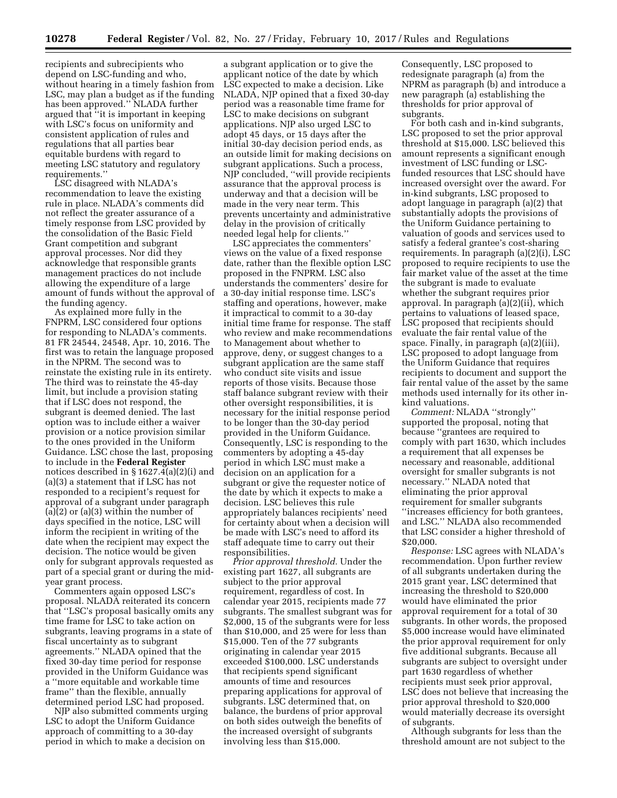recipients and subrecipients who depend on LSC-funding and who, without hearing in a timely fashion from LSC, may plan a budget as if the funding has been approved.'' NLADA further argued that ''it is important in keeping with LSC's focus on uniformity and consistent application of rules and regulations that all parties bear equitable burdens with regard to meeting LSC statutory and regulatory requirements.''

LSC disagreed with NLADA's recommendation to leave the existing rule in place. NLADA's comments did not reflect the greater assurance of a timely response from LSC provided by the consolidation of the Basic Field Grant competition and subgrant approval processes. Nor did they acknowledge that responsible grants management practices do not include allowing the expenditure of a large amount of funds without the approval of the funding agency.

As explained more fully in the FNPRM, LSC considered four options for responding to NLADA's comments. 81 FR 24544, 24548, Apr. 10, 2016. The first was to retain the language proposed in the NPRM. The second was to reinstate the existing rule in its entirety. The third was to reinstate the 45-day limit, but include a provision stating that if LSC does not respond, the subgrant is deemed denied. The last option was to include either a waiver provision or a notice provision similar to the ones provided in the Uniform Guidance. LSC chose the last, proposing to include in the **Federal Register**  notices described in § 1627.4(a)(2)(i) and (a)(3) a statement that if LSC has not responded to a recipient's request for approval of a subgrant under paragraph  $(a)(2)$  or  $(a)(3)$  within the number of days specified in the notice, LSC will inform the recipient in writing of the date when the recipient may expect the decision. The notice would be given only for subgrant approvals requested as part of a special grant or during the midyear grant process.

Commenters again opposed LSC's proposal. NLADA reiterated its concern that ''LSC's proposal basically omits any time frame for LSC to take action on subgrants, leaving programs in a state of fiscal uncertainty as to subgrant agreements.'' NLADA opined that the fixed 30-day time period for response provided in the Uniform Guidance was a ''more equitable and workable time frame'' than the flexible, annually determined period LSC had proposed.

NJP also submitted comments urging LSC to adopt the Uniform Guidance approach of committing to a 30-day period in which to make a decision on

a subgrant application or to give the applicant notice of the date by which LSC expected to make a decision. Like NLADA, NJP opined that a fixed 30-day period was a reasonable time frame for LSC to make decisions on subgrant applications. NJP also urged LSC to adopt 45 days, or 15 days after the initial 30-day decision period ends, as an outside limit for making decisions on subgrant applications. Such a process, NJP concluded, ''will provide recipients assurance that the approval process is underway and that a decision will be made in the very near term. This prevents uncertainty and administrative delay in the provision of critically needed legal help for clients.''

LSC appreciates the commenters' views on the value of a fixed response date, rather than the flexible option LSC proposed in the FNPRM. LSC also understands the commenters' desire for a 30-day initial response time. LSC's staffing and operations, however, make it impractical to commit to a 30-day initial time frame for response. The staff who review and make recommendations to Management about whether to approve, deny, or suggest changes to a subgrant application are the same staff who conduct site visits and issue reports of those visits. Because those staff balance subgrant review with their other oversight responsibilities, it is necessary for the initial response period to be longer than the 30-day period provided in the Uniform Guidance. Consequently, LSC is responding to the commenters by adopting a 45-day period in which LSC must make a decision on an application for a subgrant or give the requester notice of the date by which it expects to make a decision. LSC believes this rule appropriately balances recipients' need for certainty about when a decision will be made with LSC's need to afford its staff adequate time to carry out their responsibilities.

*Prior approval threshold.* Under the existing part 1627, all subgrants are subject to the prior approval requirement, regardless of cost. In calendar year 2015, recipients made 77 subgrants. The smallest subgrant was for \$2,000, 15 of the subgrants were for less than \$10,000, and 25 were for less than \$15,000. Ten of the 77 subgrants originating in calendar year 2015 exceeded \$100,000. LSC understands that recipients spend significant amounts of time and resources preparing applications for approval of subgrants. LSC determined that, on balance, the burdens of prior approval on both sides outweigh the benefits of the increased oversight of subgrants involving less than \$15,000.

Consequently, LSC proposed to redesignate paragraph (a) from the NPRM as paragraph (b) and introduce a new paragraph (a) establishing the thresholds for prior approval of subgrants.

For both cash and in-kind subgrants, LSC proposed to set the prior approval threshold at \$15,000. LSC believed this amount represents a significant enough investment of LSC funding or LSCfunded resources that LSC should have increased oversight over the award. For in-kind subgrants, LSC proposed to adopt language in paragraph (a)(2) that substantially adopts the provisions of the Uniform Guidance pertaining to valuation of goods and services used to satisfy a federal grantee's cost-sharing requirements. In paragraph (a)(2)(i), LSC proposed to require recipients to use the fair market value of the asset at the time the subgrant is made to evaluate whether the subgrant requires prior approval. In paragraph (a)(2)(ii), which pertains to valuations of leased space, LSC proposed that recipients should evaluate the fair rental value of the space. Finally, in paragraph (a)(2)(iii), LSC proposed to adopt language from the Uniform Guidance that requires recipients to document and support the fair rental value of the asset by the same methods used internally for its other inkind valuations.

*Comment:* NLADA ''strongly'' supported the proposal, noting that because ''grantees are required to comply with part 1630, which includes a requirement that all expenses be necessary and reasonable, additional oversight for smaller subgrants is not necessary.'' NLADA noted that eliminating the prior approval requirement for smaller subgrants ''increases efficiency for both grantees, and LSC.'' NLADA also recommended that LSC consider a higher threshold of \$20,000.

*Response:* LSC agrees with NLADA's recommendation. Upon further review of all subgrants undertaken during the 2015 grant year, LSC determined that increasing the threshold to \$20,000 would have eliminated the prior approval requirement for a total of 30 subgrants. In other words, the proposed \$5,000 increase would have eliminated the prior approval requirement for only five additional subgrants. Because all subgrants are subject to oversight under part 1630 regardless of whether recipients must seek prior approval, LSC does not believe that increasing the prior approval threshold to \$20,000 would materially decrease its oversight of subgrants.

Although subgrants for less than the threshold amount are not subject to the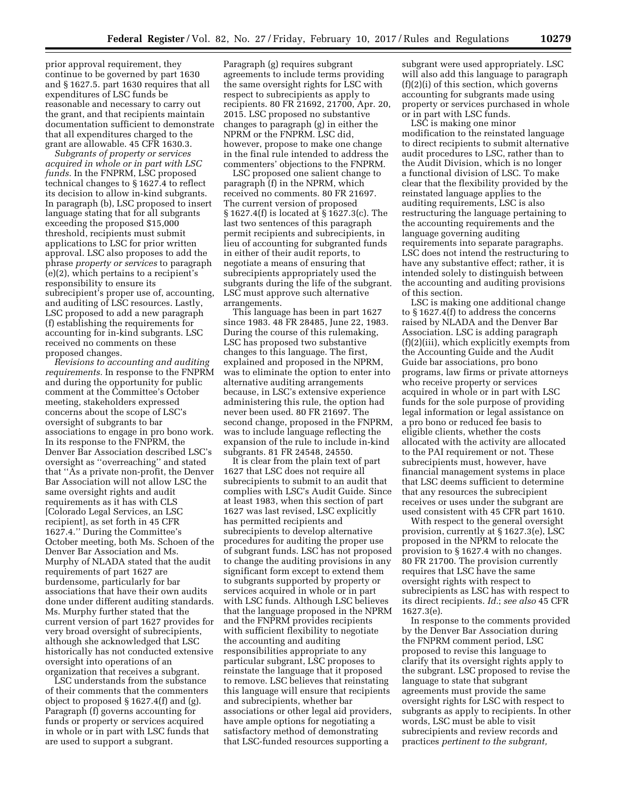prior approval requirement, they continue to be governed by part 1630 and § 1627.5. part 1630 requires that all expenditures of LSC funds be reasonable and necessary to carry out the grant, and that recipients maintain documentation sufficient to demonstrate that all expenditures charged to the grant are allowable. 45 CFR 1630.3.

*Subgrants of property or services acquired in whole or in part with LSC funds.* In the FNPRM, LSC proposed technical changes to § 1627.4 to reflect its decision to allow in-kind subgrants. In paragraph (b), LSC proposed to insert language stating that for all subgrants exceeding the proposed \$15,000 threshold, recipients must submit applications to LSC for prior written approval. LSC also proposes to add the phrase *property or services* to paragraph (e)(2), which pertains to a recipient's responsibility to ensure its subrecipient's proper use of, accounting, and auditing of LSC resources. Lastly, LSC proposed to add a new paragraph (f) establishing the requirements for accounting for in-kind subgrants. LSC received no comments on these proposed changes.

*Revisions to accounting and auditing requirements.* In response to the FNPRM and during the opportunity for public comment at the Committee's October meeting, stakeholders expressed concerns about the scope of LSC's oversight of subgrants to bar associations to engage in pro bono work. In its response to the FNPRM, the Denver Bar Association described LSC's oversight as ''overreaching'' and stated that ''As a private non-profit, the Denver Bar Association will not allow LSC the same oversight rights and audit requirements as it has with CLS [Colorado Legal Services, an LSC recipient], as set forth in 45 CFR 1627.4.'' During the Committee's October meeting, both Ms. Schoen of the Denver Bar Association and Ms. Murphy of NLADA stated that the audit requirements of part 1627 are burdensome, particularly for bar associations that have their own audits done under different auditing standards. Ms. Murphy further stated that the current version of part 1627 provides for very broad oversight of subrecipients, although she acknowledged that LSC historically has not conducted extensive oversight into operations of an organization that receives a subgrant.

LSC understands from the substance of their comments that the commenters object to proposed § 1627.4(f) and (g). Paragraph (f) governs accounting for funds or property or services acquired in whole or in part with LSC funds that are used to support a subgrant.

Paragraph (g) requires subgrant agreements to include terms providing the same oversight rights for LSC with respect to subrecipients as apply to recipients. 80 FR 21692, 21700, Apr. 20, 2015. LSC proposed no substantive changes to paragraph (g) in either the NPRM or the FNPRM. LSC did, however, propose to make one change in the final rule intended to address the commenters' objections to the FNPRM.

LSC proposed one salient change to paragraph (f) in the NPRM, which received no comments. 80 FR 21697. The current version of proposed § 1627.4(f) is located at § 1627.3(c). The last two sentences of this paragraph permit recipients and subrecipients, in lieu of accounting for subgranted funds in either of their audit reports, to negotiate a means of ensuring that subrecipients appropriately used the subgrants during the life of the subgrant. LSC must approve such alternative arrangements.

This language has been in part 1627 since 1983. 48 FR 28485, June 22, 1983. During the course of this rulemaking, LSC has proposed two substantive changes to this language. The first, explained and proposed in the NPRM, was to eliminate the option to enter into alternative auditing arrangements because, in LSC's extensive experience administering this rule, the option had never been used. 80 FR 21697. The second change, proposed in the FNPRM, was to include language reflecting the expansion of the rule to include in-kind subgrants. 81 FR 24548, 24550.

It is clear from the plain text of part 1627 that LSC does not require all subrecipients to submit to an audit that complies with LSC's Audit Guide. Since at least 1983, when this section of part 1627 was last revised, LSC explicitly has permitted recipients and subrecipients to develop alternative procedures for auditing the proper use of subgrant funds. LSC has not proposed to change the auditing provisions in any significant form except to extend them to subgrants supported by property or services acquired in whole or in part with LSC funds. Although LSC believes that the language proposed in the NPRM and the FNPRM provides recipients with sufficient flexibility to negotiate the accounting and auditing responsibilities appropriate to any particular subgrant, LSC proposes to reinstate the language that it proposed to remove. LSC believes that reinstating this language will ensure that recipients and subrecipients, whether bar associations or other legal aid providers, have ample options for negotiating a satisfactory method of demonstrating that LSC-funded resources supporting a

subgrant were used appropriately. LSC will also add this language to paragraph (f)(2)(i) of this section, which governs accounting for subgrants made using property or services purchased in whole or in part with LSC funds.

LSC is making one minor modification to the reinstated language to direct recipients to submit alternative audit procedures to LSC, rather than to the Audit Division, which is no longer a functional division of LSC. To make clear that the flexibility provided by the reinstated language applies to the auditing requirements, LSC is also restructuring the language pertaining to the accounting requirements and the language governing auditing requirements into separate paragraphs. LSC does not intend the restructuring to have any substantive effect; rather, it is intended solely to distinguish between the accounting and auditing provisions of this section.

LSC is making one additional change to § 1627.4(f) to address the concerns raised by NLADA and the Denver Bar Association. LSC is adding paragraph (f)(2)(iii), which explicitly exempts from the Accounting Guide and the Audit Guide bar associations, pro bono programs, law firms or private attorneys who receive property or services acquired in whole or in part with LSC funds for the sole purpose of providing legal information or legal assistance on a pro bono or reduced fee basis to eligible clients, whether the costs allocated with the activity are allocated to the PAI requirement or not. These subrecipients must, however, have financial management systems in place that LSC deems sufficient to determine that any resources the subrecipient receives or uses under the subgrant are used consistent with 45 CFR part 1610.

With respect to the general oversight provision, currently at § 1627.3(e), LSC proposed in the NPRM to relocate the provision to § 1627.4 with no changes. 80 FR 21700. The provision currently requires that LSC have the same oversight rights with respect to subrecipients as LSC has with respect to its direct recipients. *Id.*; *see also* 45 CFR 1627.3(e).

In response to the comments provided by the Denver Bar Association during the FNPRM comment period, LSC proposed to revise this language to clarify that its oversight rights apply to the subgrant. LSC proposed to revise the language to state that subgrant agreements must provide the same oversight rights for LSC with respect to subgrants as apply to recipients. In other words, LSC must be able to visit subrecipients and review records and practices *pertinent to the subgrant,*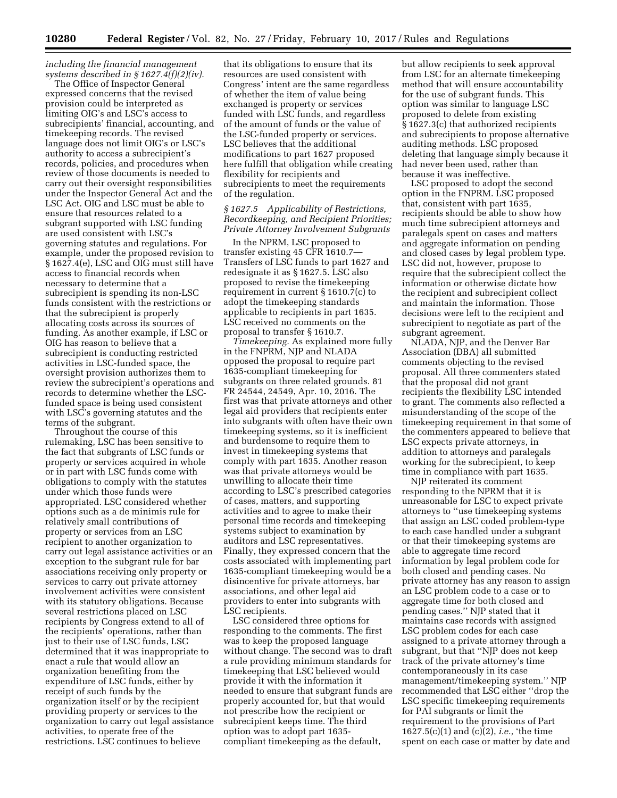*including the financial management systems described in § 1627.4(f)(2)(iv).* 

The Office of Inspector General expressed concerns that the revised provision could be interpreted as limiting OIG's and LSC's access to subrecipients' financial, accounting, and timekeeping records. The revised language does not limit OIG's or LSC's authority to access a subrecipient's records, policies, and procedures when review of those documents is needed to carry out their oversight responsibilities under the Inspector General Act and the LSC Act. OIG and LSC must be able to ensure that resources related to a subgrant supported with LSC funding are used consistent with LSC's governing statutes and regulations. For example, under the proposed revision to § 1627.4(e), LSC and OIG must still have access to financial records when necessary to determine that a subrecipient is spending its non-LSC funds consistent with the restrictions or that the subrecipient is properly allocating costs across its sources of funding. As another example, if LSC or OIG has reason to believe that a subrecipient is conducting restricted activities in LSC-funded space, the oversight provision authorizes them to review the subrecipient's operations and records to determine whether the LSCfunded space is being used consistent with LSC's governing statutes and the terms of the subgrant.

Throughout the course of this rulemaking, LSC has been sensitive to the fact that subgrants of LSC funds or property or services acquired in whole or in part with LSC funds come with obligations to comply with the statutes under which those funds were appropriated. LSC considered whether options such as a de minimis rule for relatively small contributions of property or services from an LSC recipient to another organization to carry out legal assistance activities or an exception to the subgrant rule for bar associations receiving only property or services to carry out private attorney involvement activities were consistent with its statutory obligations. Because several restrictions placed on LSC recipients by Congress extend to all of the recipients' operations, rather than just to their use of LSC funds, LSC determined that it was inappropriate to enact a rule that would allow an organization benefiting from the expenditure of LSC funds, either by receipt of such funds by the organization itself or by the recipient providing property or services to the organization to carry out legal assistance activities, to operate free of the restrictions. LSC continues to believe

that its obligations to ensure that its resources are used consistent with Congress' intent are the same regardless of whether the item of value being exchanged is property or services funded with LSC funds, and regardless of the amount of funds or the value of the LSC-funded property or services. LSC believes that the additional modifications to part 1627 proposed here fulfill that obligation while creating flexibility for recipients and subrecipients to meet the requirements of the regulation.

### *§ 1627.5 Applicability of Restrictions, Recordkeeping, and Recipient Priorities; Private Attorney Involvement Subgrants*

In the NPRM, LSC proposed to transfer existing 45 CFR 1610.7— Transfers of LSC funds to part 1627 and redesignate it as § 1627.5. LSC also proposed to revise the timekeeping requirement in current § 1610.7(c) to adopt the timekeeping standards applicable to recipients in part 1635. LSC received no comments on the proposal to transfer § 1610.7.

*Timekeeping.* As explained more fully in the FNPRM, NJP and NLADA opposed the proposal to require part 1635-compliant timekeeping for subgrants on three related grounds. 81 FR 24544, 24549, Apr. 10, 2016. The first was that private attorneys and other legal aid providers that recipients enter into subgrants with often have their own timekeeping systems, so it is inefficient and burdensome to require them to invest in timekeeping systems that comply with part 1635. Another reason was that private attorneys would be unwilling to allocate their time according to LSC's prescribed categories of cases, matters, and supporting activities and to agree to make their personal time records and timekeeping systems subject to examination by auditors and LSC representatives. Finally, they expressed concern that the costs associated with implementing part 1635-compliant timekeeping would be a disincentive for private attorneys, bar associations, and other legal aid providers to enter into subgrants with LSC recipients.

LSC considered three options for responding to the comments. The first was to keep the proposed language without change. The second was to draft a rule providing minimum standards for timekeeping that LSC believed would provide it with the information it needed to ensure that subgrant funds are properly accounted for, but that would not prescribe how the recipient or subrecipient keeps time. The third option was to adopt part 1635 compliant timekeeping as the default,

but allow recipients to seek approval from LSC for an alternate timekeeping method that will ensure accountability for the use of subgrant funds. This option was similar to language LSC proposed to delete from existing § 1627.3(c) that authorized recipients and subrecipients to propose alternative auditing methods. LSC proposed deleting that language simply because it had never been used, rather than because it was ineffective.

LSC proposed to adopt the second option in the FNPRM. LSC proposed that, consistent with part 1635, recipients should be able to show how much time subrecipient attorneys and paralegals spent on cases and matters and aggregate information on pending and closed cases by legal problem type. LSC did not, however, propose to require that the subrecipient collect the information or otherwise dictate how the recipient and subrecipient collect and maintain the information. Those decisions were left to the recipient and subrecipient to negotiate as part of the subgrant agreement.

NLADA, NJP, and the Denver Bar Association (DBA) all submitted comments objecting to the revised proposal. All three commenters stated that the proposal did not grant recipients the flexibility LSC intended to grant. The comments also reflected a misunderstanding of the scope of the timekeeping requirement in that some of the commenters appeared to believe that LSC expects private attorneys, in addition to attorneys and paralegals working for the subrecipient, to keep time in compliance with part 1635.

NJP reiterated its comment responding to the NPRM that it is unreasonable for LSC to expect private attorneys to ''use timekeeping systems that assign an LSC coded problem-type to each case handled under a subgrant or that their timekeeping systems are able to aggregate time record information by legal problem code for both closed and pending cases. No private attorney has any reason to assign an LSC problem code to a case or to aggregate time for both closed and pending cases.'' NJP stated that it maintains case records with assigned LSC problem codes for each case assigned to a private attorney through a subgrant, but that ''NJP does not keep track of the private attorney's time contemporaneously in its case management/timekeeping system.'' NJP recommended that LSC either ''drop the LSC specific timekeeping requirements for PAI subgrants or limit the requirement to the provisions of Part 1627.5(c)(1) and (c)(2), *i.e.,* 'the time spent on each case or matter by date and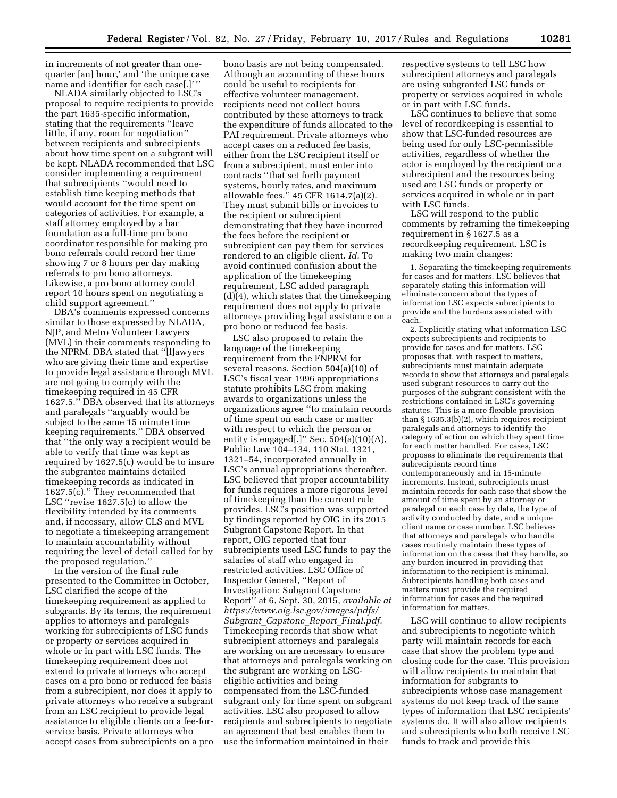in increments of not greater than onequarter [an] hour,' and 'the unique case name and identifier for each case[.]' ''

NLADA similarly objected to LSC's proposal to require recipients to provide the part 1635-specific information, stating that the requirements ''leave little, if any, room for negotiation'' between recipients and subrecipients about how time spent on a subgrant will be kept. NLADA recommended that LSC consider implementing a requirement that subrecipients ''would need to establish time keeping methods that would account for the time spent on categories of activities. For example, a staff attorney employed by a bar foundation as a full-time pro bono coordinator responsible for making pro bono referrals could record her time showing 7 or 8 hours per day making referrals to pro bono attorneys. Likewise, a pro bono attorney could report 10 hours spent on negotiating a child support agreement.''

DBA's comments expressed concerns similar to those expressed by NLADA, NJP, and Metro Volunteer Lawyers (MVL) in their comments responding to the NPRM. DBA stated that ''[l]awyers who are giving their time and expertise to provide legal assistance through MVL are not going to comply with the timekeeping required in 45 CFR 1627.5.'' DBA observed that its attorneys and paralegals ''arguably would be subject to the same 15 minute time keeping requirements.'' DBA observed that ''the only way a recipient would be able to verify that time was kept as required by 1627.5(c) would be to insure the subgrantee maintains detailed timekeeping records as indicated in 1627.5(c).'' They recommended that LSC ''revise 1627.5(c) to allow the flexibility intended by its comments and, if necessary, allow CLS and MVL to negotiate a timekeeping arrangement to maintain accountability without requiring the level of detail called for by the proposed regulation.''

In the version of the final rule presented to the Committee in October, LSC clarified the scope of the timekeeping requirement as applied to subgrants. By its terms, the requirement applies to attorneys and paralegals working for subrecipients of LSC funds or property or services acquired in whole or in part with LSC funds. The timekeeping requirement does not extend to private attorneys who accept cases on a pro bono or reduced fee basis from a subrecipient, nor does it apply to private attorneys who receive a subgrant from an LSC recipient to provide legal assistance to eligible clients on a fee-forservice basis. Private attorneys who accept cases from subrecipients on a pro

bono basis are not being compensated. Although an accounting of these hours could be useful to recipients for effective volunteer management, recipients need not collect hours contributed by these attorneys to track the expenditure of funds allocated to the PAI requirement. Private attorneys who accept cases on a reduced fee basis, either from the LSC recipient itself or from a subrecipient, must enter into contracts ''that set forth payment systems, hourly rates, and maximum allowable fees.'' 45 CFR 1614.7(a)(2). They must submit bills or invoices to the recipient or subrecipient demonstrating that they have incurred the fees before the recipient or subrecipient can pay them for services rendered to an eligible client. *Id.* To avoid continued confusion about the application of the timekeeping requirement, LSC added paragraph (d)(4), which states that the timekeeping requirement does not apply to private attorneys providing legal assistance on a pro bono or reduced fee basis.

LSC also proposed to retain the language of the timekeeping requirement from the FNPRM for several reasons. Section 504(a)(10) of LSC's fiscal year 1996 appropriations statute prohibits LSC from making awards to organizations unless the organizations agree ''to maintain records of time spent on each case or matter with respect to which the person or entity is engaged[.]" Sec.  $504(a)(10)(A)$ , Public Law 104–134, 110 Stat. 1321, 1321–54, incorporated annually in LSC's annual appropriations thereafter. LSC believed that proper accountability for funds requires a more rigorous level of timekeeping than the current rule provides. LSC's position was supported by findings reported by OIG in its 2015 Subgrant Capstone Report. In that report, OIG reported that four subrecipients used LSC funds to pay the salaries of staff who engaged in restricted activities. LSC Office of Inspector General, ''Report of Investigation: Subgrant Capstone Report'' at 6, Sept. 30, 2015, *available at [https://www.oig.lsc.gov/images/pdfs/](https://www.oig.lsc.gov/images/pdfs/Subgrant_Capstone_Report_Final.pdf)  Subgrant*\_*Capstone*\_*Report*\_*[Final.pdf.](https://www.oig.lsc.gov/images/pdfs/Subgrant_Capstone_Report_Final.pdf)*  Timekeeping records that show what subrecipient attorneys and paralegals are working on are necessary to ensure that attorneys and paralegals working on the subgrant are working on LSCeligible activities and being compensated from the LSC-funded subgrant only for time spent on subgrant activities. LSC also proposed to allow recipients and subrecipients to negotiate an agreement that best enables them to use the information maintained in their

respective systems to tell LSC how subrecipient attorneys and paralegals are using subgranted LSC funds or property or services acquired in whole or in part with LSC funds.

LSC continues to believe that some level of recordkeeping is essential to show that LSC-funded resources are being used for only LSC-permissible activities, regardless of whether the actor is employed by the recipient or a subrecipient and the resources being used are LSC funds or property or services acquired in whole or in part with LSC funds.

LSC will respond to the public comments by reframing the timekeeping requirement in § 1627.5 as a recordkeeping requirement. LSC is making two main changes:

1. Separating the timekeeping requirements for cases and for matters. LSC believes that separately stating this information will eliminate concern about the types of information LSC expects subrecipients to provide and the burdens associated with each.

2. Explicitly stating what information LSC expects subrecipients and recipients to provide for cases and for matters. LSC proposes that, with respect to matters, subrecipients must maintain adequate records to show that attorneys and paralegals used subgrant resources to carry out the purposes of the subgrant consistent with the restrictions contained in LSC's governing statutes. This is a more flexible provision than § 1635.3(b)(2), which requires recipient paralegals and attorneys to identify the category of action on which they spent time for each matter handled. For cases, LSC proposes to eliminate the requirements that subrecipients record time contemporaneously and in 15-minute increments. Instead, subrecipients must maintain records for each case that show the amount of time spent by an attorney or paralegal on each case by date, the type of activity conducted by date, and a unique client name or case number. LSC believes that attorneys and paralegals who handle cases routinely maintain these types of information on the cases that they handle, so any burden incurred in providing that information to the recipient is minimal. Subrecipients handling both cases and matters must provide the required information for cases and the required information for matters.

LSC will continue to allow recipients and subrecipients to negotiate which party will maintain records for each case that show the problem type and closing code for the case. This provision will allow recipients to maintain that information for subgrants to subrecipients whose case management systems do not keep track of the same types of information that LSC recipients' systems do. It will also allow recipients and subrecipients who both receive LSC funds to track and provide this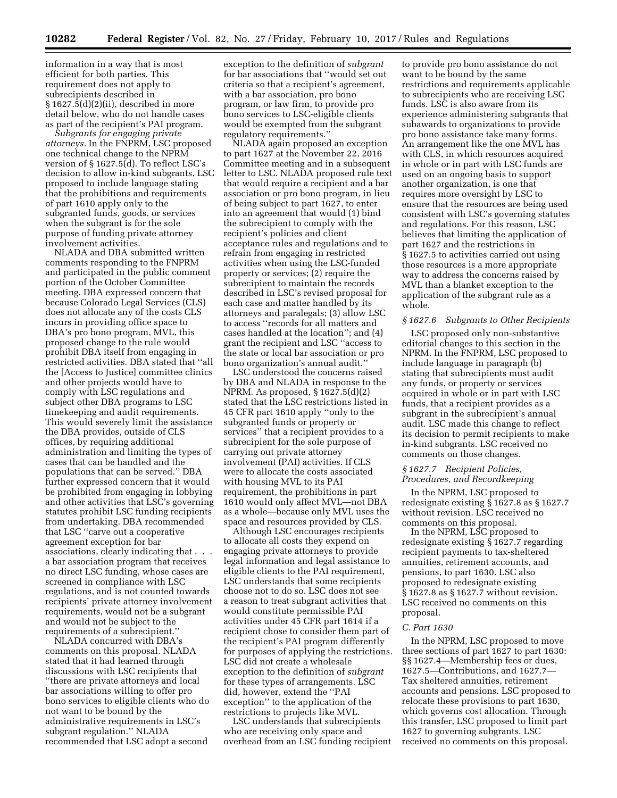information in a way that is most efficient for both parties. This requirement does not apply to subrecipients described in § 1627.5(d)(2)(ii), described in more detail below, who do not handle cases as part of the recipient's PAI program.

*Subgrants for engaging private attorneys.* In the FNPRM, LSC proposed one technical change to the NPRM version of § 1627.5(d). To reflect LSC's decision to allow in-kind subgrants, LSC proposed to include language stating that the prohibitions and requirements of part 1610 apply only to the subgranted funds, goods, or services when the subgrant is for the sole purpose of funding private attorney involvement activities.

NLADA and DBA submitted written comments responding to the FNPRM and participated in the public comment portion of the October Committee meeting. DBA expressed concern that because Colorado Legal Services (CLS) does not allocate any of the costs CLS incurs in providing office space to DBA's pro bono program, MVL, this proposed change to the rule would prohibit DBA itself from engaging in restricted activities. DBA stated that ''all the [Access to Justice] committee clinics and other projects would have to comply with LSC regulations and subject other DBA programs to LSC timekeeping and audit requirements. This would severely limit the assistance the DBA provides, outside of CLS offices, by requiring additional administration and limiting the types of cases that can be handled and the populations that can be served.'' DBA further expressed concern that it would be prohibited from engaging in lobbying and other activities that LSC's governing statutes prohibit LSC funding recipients from undertaking. DBA recommended that LSC ''carve out a cooperative agreement exception for bar associations, clearly indicating that . . . a bar association program that receives no direct LSC funding, whose cases are screened in compliance with LSC regulations, and is not counted towards recipients' private attorney involvement requirements, would not be a subgrant and would not be subject to the requirements of a subrecipient.''

NLADA concurred with DBA's comments on this proposal. NLADA stated that it had learned through discussions with LSC recipients that ''there are private attorneys and local bar associations willing to offer pro bono services to eligible clients who do not want to be bound by the administrative requirements in LSC's subgrant regulation.'' NLADA recommended that LSC adopt a second

exception to the definition of *subgrant*  for bar associations that ''would set out criteria so that a recipient's agreement, with a bar association, pro bono program, or law firm, to provide pro bono services to LSC-eligible clients would be exempted from the subgrant regulatory requirements.''

NLADA again proposed an exception to part 1627 at the November 22, 2016 Committee meeting and in a subsequent letter to LSC. NLADA proposed rule text that would require a recipient and a bar association or pro bono program, in lieu of being subject to part 1627, to enter into an agreement that would (1) bind the subrecipient to comply with the recipient's policies and client acceptance rules and regulations and to refrain from engaging in restricted activities when using the LSC-funded property or services; (2) require the subrecipient to maintain the records described in LSC's revised proposal for each case and matter handled by its attorneys and paralegals; (3) allow LSC to access ''records for all matters and cases handled at the location''; and (4) grant the recipient and LSC ''access to the state or local bar association or pro bono organization's annual audit.''

LSC understood the concerns raised by DBA and NLADA in response to the NPRM. As proposed, § 1627.5(d)(2) stated that the LSC restrictions listed in 45 CFR part 1610 apply ''only to the subgranted funds or property or services'' that a recipient provides to a subrecipient for the sole purpose of carrying out private attorney involvement (PAI) activities. If CLS were to allocate the costs associated with housing MVL to its PAI requirement, the prohibitions in part 1610 would only affect MVL—not DBA as a whole—because only MVL uses the space and resources provided by CLS.

Although LSC encourages recipients to allocate all costs they expend on engaging private attorneys to provide legal information and legal assistance to eligible clients to the PAI requirement, LSC understands that some recipients choose not to do so. LSC does not see a reason to treat subgrant activities that would constitute permissible PAI activities under 45 CFR part 1614 if a recipient chose to consider them part of the recipient's PAI program differently for purposes of applying the restrictions. LSC did not create a wholesale exception to the definition of *subgrant*  for these types of arrangements. LSC did, however, extend the ''PAI exception'' to the application of the restrictions to projects like MVL.

LSC understands that subrecipients who are receiving only space and overhead from an LSC funding recipient

to provide pro bono assistance do not want to be bound by the same restrictions and requirements applicable to subrecipients who are receiving LSC funds. LSC is also aware from its experience administering subgrants that subawards to organizations to provide pro bono assistance take many forms. An arrangement like the one MVL has with CLS, in which resources acquired in whole or in part with LSC funds are used on an ongoing basis to support another organization, is one that requires more oversight by LSC to ensure that the resources are being used consistent with LSC's governing statutes and regulations. For this reason, LSC believes that limiting the application of part 1627 and the restrictions in § 1627.5 to activities carried out using those resources is a more appropriate way to address the concerns raised by MVL than a blanket exception to the application of the subgrant rule as a whole.

### *§ 1627.6 Subgrants to Other Recipients*

LSC proposed only non-substantive editorial changes to this section in the NPRM. In the FNPRM, LSC proposed to include language in paragraph (b) stating that subrecipients must audit any funds, or property or services acquired in whole or in part with LSC funds, that a recipient provides as a subgrant in the subrecipient's annual audit. LSC made this change to reflect its decision to permit recipients to make in-kind subgrants. LSC received no comments on those changes.

### *§ 1627.7 Recipient Policies, Procedures, and Recordkeeping*

In the NPRM, LSC proposed to redesignate existing § 1627.8 as § 1627.7 without revision. LSC received no comments on this proposal.

In the NPRM, LSC proposed to redesignate existing § 1627.7 regarding recipient payments to tax-sheltered annuities, retirement accounts, and pensions, to part 1630. LSC also proposed to redesignate existing § 1627.8 as § 1627.7 without revision. LSC received no comments on this proposal.

### *C. Part 1630*

In the NPRM, LSC proposed to move three sections of part 1627 to part 1630: §§ 1627.4—Membership fees or dues, 1627.5—Contributions, and 1627.7— Tax sheltered annuities, retirement accounts and pensions. LSC proposed to relocate these provisions to part 1630, which governs cost allocation. Through this transfer, LSC proposed to limit part 1627 to governing subgrants. LSC received no comments on this proposal.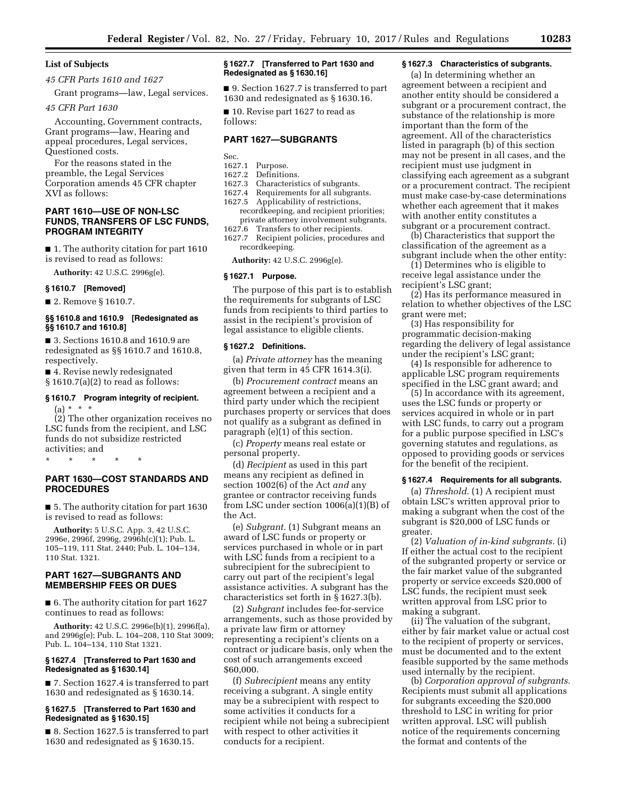### **List of Subjects**

*45 CFR Parts 1610 and 1627* 

Grant programs—law, Legal services.

#### *45 CFR Part 1630*

Accounting, Government contracts, Grant programs—law, Hearing and appeal procedures, Legal services, Questioned costs.

For the reasons stated in the preamble, the Legal Services Corporation amends 45 CFR chapter XVI as follows:

## **PART 1610—USE OF NON-LSC FUNDS, TRANSFERS OF LSC FUNDS, PROGRAM INTEGRITY**

■ 1. The authority citation for part 1610 is revised to read as follows:

**Authority:** 42 U.S.C. 2996g(e).

#### **§ 1610.7 [Removed]**

■ 2. Remove § 1610.7.

### **§§ 1610.8 and 1610.9 [Redesignated as §§ 1610.7 and 1610.8]**

■ 3. Sections 1610.8 and 1610.9 are redesignated as §§ 1610.7 and 1610.8, respectively.

■ 4. Revise newly redesignated § 1610.7(a)(2) to read as follows:

# **§ 1610.7 Program integrity of recipient.**   $(a) * * * *$

(2) The other organization receives no LSC funds from the recipient, and LSC funds do not subsidize restricted activities; and

\* \* \* \* \*

# **PART 1630—COST STANDARDS AND PROCEDURES**

■ 5. The authority citation for part 1630 is revised to read as follows:

**Authority:** 5 U.S.C. App. 3, 42 U.S.C. 2996e, 2996f, 2996g, 2996h(c)(1); Pub. L. 105–119, 111 Stat. 2440; Pub. L. 104–134, 110 Stat. 1321.

# **PART 1627—SUBGRANTS AND MEMBERSHIP FEES OR DUES**

■ 6. The authority citation for part 1627 continues to read as follows:

**Authority:** 42 U.S.C. 2996e(b)(1), 2996f(a), and 2996g(e); Pub. L. 104–208, 110 Stat 3009; Pub. L. 104–134, 110 Stat 1321.

### **§ 1627.4 [Transferred to Part 1630 and Redesignated as § 1630.14]**

■ 7. Section 1627.4 is transferred to part 1630 and redesignated as § 1630.14.

### **§ 1627.5 [Transferred to Part 1630 and Redesignated as § 1630.15]**

■ 8. Section 1627.5 is transferred to part 1630 and redesignated as § 1630.15.

### **§ 1627.7 [Transferred to Part 1630 and Redesignated as § 1630.16]**

■ 9. Section 1627.7 is transferred to part 1630 and redesignated as § 1630.16.

■ 10. Revise part 1627 to read as follows:

# **PART 1627—SUBGRANTS**

Sec.

# 1627.1 Purpose.

- 1627.2 Definitions.
- Characteristics of subgrants.
- 1627.4 Requirements for all subgrants. 1627.5 Applicability of restrictions, recordkeeping, and recipient priorities;
- private attorney involvement subgrants.<br>1627.6 Transfers to other recipients. Transfers to other recipients.
- 1627.7 Recipient policies, procedures and recordkeeping.

**Authority:** 42 U.S.C. 2996g(e).

### **§ 1627.1 Purpose.**

The purpose of this part is to establish the requirements for subgrants of LSC funds from recipients to third parties to assist in the recipient's provision of legal assistance to eligible clients.

### **§ 1627.2 Definitions.**

(a) *Private attorney* has the meaning given that term in 45 CFR 1614.3(i).

(b) *Procurement contract* means an agreement between a recipient and a third party under which the recipient purchases property or services that does not qualify as a subgrant as defined in paragraph (e)(1) of this section.

(c) *Property* means real estate or personal property.

(d) *Recipient* as used in this part means any recipient as defined in section 1002(6) of the Act *and* any grantee or contractor receiving funds from LSC under section 1006(a)(1)(B) of the Act.

(e) *Subgrant.* (1) Subgrant means an award of LSC funds or property or services purchased in whole or in part with LSC funds from a recipient to a subrecipient for the subrecipient to carry out part of the recipient's legal assistance activities. A subgrant has the characteristics set forth in § 1627.3(b).

(2) *Subgrant* includes fee-for-service arrangements, such as those provided by a private law firm or attorney representing a recipient's clients on a contract or judicare basis, only when the cost of such arrangements exceed \$60,000.

(f) *Subrecipient* means any entity receiving a subgrant. A single entity may be a subrecipient with respect to some activities it conducts for a recipient while not being a subrecipient with respect to other activities it conducts for a recipient.

### **§ 1627.3 Characteristics of subgrants.**

(a) In determining whether an agreement between a recipient and another entity should be considered a subgrant or a procurement contract, the substance of the relationship is more important than the form of the agreement. All of the characteristics listed in paragraph (b) of this section may not be present in all cases, and the recipient must use judgment in classifying each agreement as a subgrant or a procurement contract. The recipient must make case-by-case determinations whether each agreement that it makes with another entity constitutes a subgrant or a procurement contract.

(b) Characteristics that support the classification of the agreement as a subgrant include when the other entity:

(1) Determines who is eligible to receive legal assistance under the recipient's LSC grant;

(2) Has its performance measured in relation to whether objectives of the LSC grant were met;

(3) Has responsibility for programmatic decision-making regarding the delivery of legal assistance under the recipient's LSC grant;

(4) Is responsible for adherence to applicable LSC program requirements specified in the LSC grant award; and

(5) In accordance with its agreement, uses the LSC funds or property or services acquired in whole or in part with LSC funds, to carry out a program for a public purpose specified in LSC's governing statutes and regulations, as opposed to providing goods or services for the benefit of the recipient.

### **§ 1627.4 Requirements for all subgrants.**

(a) *Threshold.* (1) A recipient must obtain LSC's written approval prior to making a subgrant when the cost of the subgrant is \$20,000 of LSC funds or greater.

(2) *Valuation of in-kind subgrants.* (i) If either the actual cost to the recipient of the subgranted property or service or the fair market value of the subgranted property or service exceeds \$20,000 of LSC funds, the recipient must seek written approval from LSC prior to making a subgrant.

(ii) The valuation of the subgrant, either by fair market value or actual cost to the recipient of property or services, must be documented and to the extent feasible supported by the same methods used internally by the recipient.

(b) *Corporation approval of subgrants.*  Recipients must submit all applications for subgrants exceeding the \$20,000 threshold to LSC in writing for prior written approval. LSC will publish notice of the requirements concerning the format and contents of the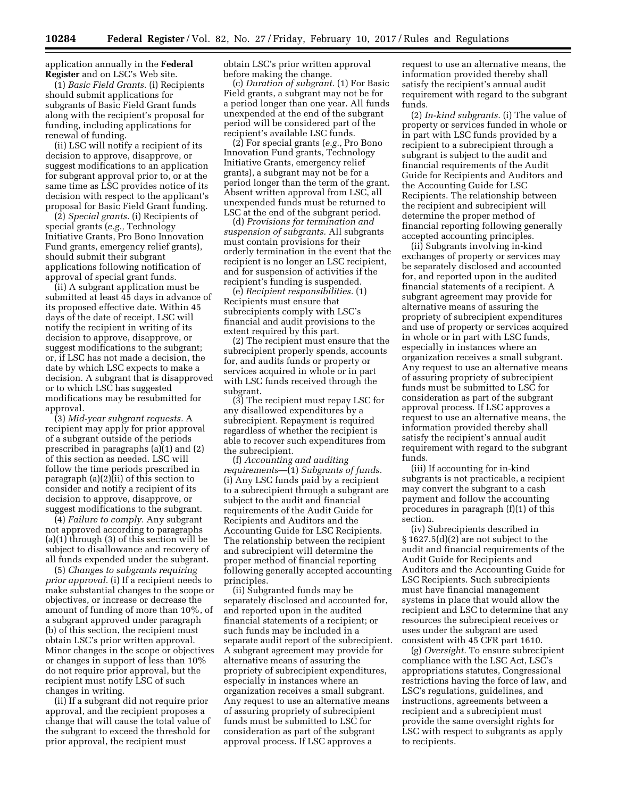application annually in the **Federal Register** and on LSC's Web site.

(1) *Basic Field Grants.* (i) Recipients should submit applications for subgrants of Basic Field Grant funds along with the recipient's proposal for funding, including applications for renewal of funding.

(ii) LSC will notify a recipient of its decision to approve, disapprove, or suggest modifications to an application for subgrant approval prior to, or at the same time as LSC provides notice of its decision with respect to the applicant's proposal for Basic Field Grant funding.

(2) *Special grants.* (i) Recipients of special grants (*e.g.,* Technology Initiative Grants, Pro Bono Innovation Fund grants, emergency relief grants), should submit their subgrant applications following notification of approval of special grant funds.

(ii) A subgrant application must be submitted at least 45 days in advance of its proposed effective date. Within 45 days of the date of receipt, LSC will notify the recipient in writing of its decision to approve, disapprove, or suggest modifications to the subgrant; or, if LSC has not made a decision, the date by which LSC expects to make a decision. A subgrant that is disapproved or to which LSC has suggested modifications may be resubmitted for approval.

(3) *Mid-year subgrant requests.* A recipient may apply for prior approval of a subgrant outside of the periods prescribed in paragraphs (a)(1) and (2) of this section as needed. LSC will follow the time periods prescribed in paragraph (a)(2)(ii) of this section to consider and notify a recipient of its decision to approve, disapprove, or suggest modifications to the subgrant.

(4) *Failure to comply.* Any subgrant not approved according to paragraphs (a)(1) through (3) of this section will be subject to disallowance and recovery of all funds expended under the subgrant.

(5) *Changes to subgrants requiring prior approval.* (i) If a recipient needs to make substantial changes to the scope or objectives, or increase or decrease the amount of funding of more than 10%, of a subgrant approved under paragraph (b) of this section, the recipient must obtain LSC's prior written approval. Minor changes in the scope or objectives or changes in support of less than 10% do not require prior approval, but the recipient must notify LSC of such changes in writing.

(ii) If a subgrant did not require prior approval, and the recipient proposes a change that will cause the total value of the subgrant to exceed the threshold for prior approval, the recipient must

obtain LSC's prior written approval before making the change.

(c) *Duration of subgrant.* (1) For Basic Field grants, a subgrant may not be for a period longer than one year. All funds unexpended at the end of the subgrant period will be considered part of the recipient's available LSC funds.

(2) For special grants (*e.g.,* Pro Bono Innovation Fund grants, Technology Initiative Grants, emergency relief grants), a subgrant may not be for a period longer than the term of the grant. Absent written approval from LSC, all unexpended funds must be returned to LSC at the end of the subgrant period.

(d) *Provisions for termination and suspension of subgrants.* All subgrants must contain provisions for their orderly termination in the event that the recipient is no longer an LSC recipient, and for suspension of activities if the recipient's funding is suspended.

(e) *Recipient responsibilities.* (1) Recipients must ensure that subrecipients comply with LSC's financial and audit provisions to the extent required by this part.

(2) The recipient must ensure that the subrecipient properly spends, accounts for, and audits funds or property or services acquired in whole or in part with LSC funds received through the subgrant.

(3) The recipient must repay LSC for any disallowed expenditures by a subrecipient. Repayment is required regardless of whether the recipient is able to recover such expenditures from the subrecipient.

(f) *Accounting and auditing requirements*—(1) *Subgrants of funds.*  (i) Any LSC funds paid by a recipient to a subrecipient through a subgrant are subject to the audit and financial requirements of the Audit Guide for Recipients and Auditors and the Accounting Guide for LSC Recipients. The relationship between the recipient and subrecipient will determine the proper method of financial reporting following generally accepted accounting principles.

(ii) Subgranted funds may be separately disclosed and accounted for, and reported upon in the audited financial statements of a recipient; or such funds may be included in a separate audit report of the subrecipient. A subgrant agreement may provide for alternative means of assuring the propriety of subrecipient expenditures, especially in instances where an organization receives a small subgrant. Any request to use an alternative means of assuring propriety of subrecipient funds must be submitted to LSC for consideration as part of the subgrant approval process. If LSC approves a

request to use an alternative means, the information provided thereby shall satisfy the recipient's annual audit requirement with regard to the subgrant funds.

(2) *In-kind subgrants.* (i) The value of property or services funded in whole or in part with LSC funds provided by a recipient to a subrecipient through a subgrant is subject to the audit and financial requirements of the Audit Guide for Recipients and Auditors and the Accounting Guide for LSC Recipients. The relationship between the recipient and subrecipient will determine the proper method of financial reporting following generally accepted accounting principles.

(ii) Subgrants involving in-kind exchanges of property or services may be separately disclosed and accounted for, and reported upon in the audited financial statements of a recipient. A subgrant agreement may provide for alternative means of assuring the propriety of subrecipient expenditures and use of property or services acquired in whole or in part with LSC funds, especially in instances where an organization receives a small subgrant. Any request to use an alternative means of assuring propriety of subrecipient funds must be submitted to LSC for consideration as part of the subgrant approval process. If LSC approves a request to use an alternative means, the information provided thereby shall satisfy the recipient's annual audit requirement with regard to the subgrant funds.

(iii) If accounting for in-kind subgrants is not practicable, a recipient may convert the subgrant to a cash payment and follow the accounting procedures in paragraph (f)(1) of this section.

(iv) Subrecipients described in § 1627.5(d)(2) are not subject to the audit and financial requirements of the Audit Guide for Recipients and Auditors and the Accounting Guide for LSC Recipients. Such subrecipients must have financial management systems in place that would allow the recipient and LSC to determine that any resources the subrecipient receives or uses under the subgrant are used consistent with 45 CFR part 1610.

(g) *Oversight.* To ensure subrecipient compliance with the LSC Act, LSC's appropriations statutes, Congressional restrictions having the force of law, and LSC's regulations, guidelines, and instructions, agreements between a recipient and a subrecipient must provide the same oversight rights for LSC with respect to subgrants as apply to recipients.